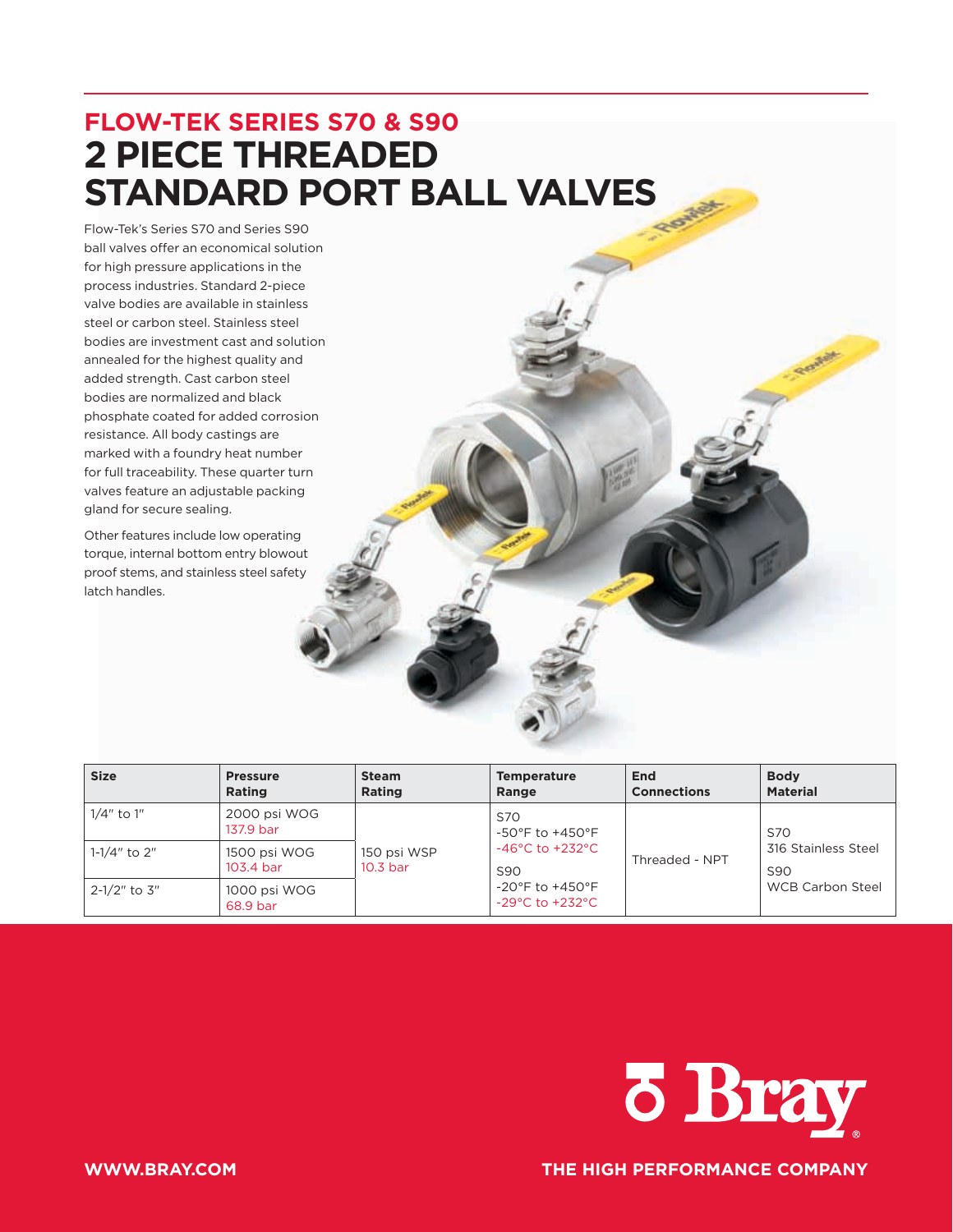# **FLOW-TEK SERIES S70 & S90 2 PIECE THREADED STANDARD PORT BALL VALVES**

Flow-Tek's Series S70 and Series S90 ball valves offer an economical solution for high pressure applications in the process industries. Standard 2-piece valve bodies are available in stainless steel or carbon steel. Stainless steel bodies are investment cast and solution annealed for the highest quality and added strength. Cast carbon steel bodies are normalized and black phosphate coated for added corrosion resistance. All body castings are marked with a foundry heat number for full traceability. These quarter turn valves feature an adjustable packing gland for secure sealing.

Other features include low operating torque, internal bottom entry blowout proof stems, and stainless steel safety latch handles.

| <b>Size</b>  | <b>Pressure</b><br><b>Rating</b> | <b>Steam</b><br><b>Rating</b>      | <b>Temperature</b><br>Range                                                | End<br><b>Connections</b> | <b>Body</b><br><b>Material</b>         |  |
|--------------|----------------------------------|------------------------------------|----------------------------------------------------------------------------|---------------------------|----------------------------------------|--|
| 1/4" to 1"   | 2000 psi WOG<br>137.9 bar        |                                    | S70<br>$-50^{\circ}$ F to $+450^{\circ}$ F                                 |                           | <b>S70</b>                             |  |
| 1-1/4" to 2" | 1500 psi WOG<br>103.4 bar        | 150 psi WSP<br>10.3 <sub>bar</sub> | $-46^{\circ}$ C to $+232^{\circ}$ C<br>S <sub>90</sub>                     | Threaded - NPT            | 316 Stainless Steel<br>S <sub>90</sub> |  |
| 2-1/2" to 3" | 1000 psi WOG<br>68.9 bar         |                                    | $-20^{\circ}$ F to $+450^{\circ}$ F<br>$-29^{\circ}$ C to $+232^{\circ}$ C |                           | <b>WCB Carbon Steel</b>                |  |



**WWW.BRAY.COM THE HIGH PERFORMANCE COMPANY**